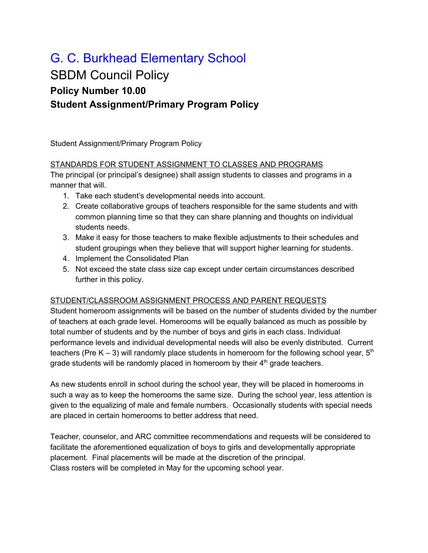# G. C. Burkhead Elementary School

# SBDM Council Policy **Policy Number 10.00 Student Assignment/Primary Program Policy**

Student Assignment/Primary Program Policy

## STANDARDS FOR STUDENT ASSIGNMENT TO CLASSES AND PROGRAMS

The principal (or principal's designee) shall assign students to classes and programs in a manner that will.

- 1. Take each student's developmental needs into account.
- 2. Create collaborative groups of teachers responsible for the same students and with common planning time so that they can share planning and thoughts on individual students needs.
- 3. Make it easy for those teachers to make flexible adjustments to their schedules and student groupings when they believe that will support higher learning for students.
- 4. Implement the Consolidated Plan
- 5. Not exceed the state class size cap except under certain circumstances described further in this policy.

# STUDENT/CLASSROOM ASSIGNMENT PROCESS AND PARENT REQUESTS

Student homeroom assignments will be based on the number of students divided by the number of teachers at each grade level. Homerooms will be equally balanced as much as possible by total number of students and by the number of boys and girls in each class. Individual performance levels and individual developmental needs will also be evenly distributed. Current teachers (Pre K – 3) will randomly place students in homeroom for the following school year,  $5<sup>th</sup>$ grade students will be randomly placed in homeroom by their  $4<sup>th</sup>$  grade teachers.

As new students enroll in school during the school year, they will be placed in homerooms in such a way as to keep the homerooms the same size. During the school year, less attention is given to the equalizing of male and female numbers. Occasionally students with special needs are placed in certain homerooms to better address that need.

Teacher, counselor, and ARC committee recommendations and requests will be considered to facilitate the aforementioned equalization of boys to girls and developmentally appropriate placement. Final placements will be made at the discretion of the principal. Class rosters will be completed in May for the upcoming school year.